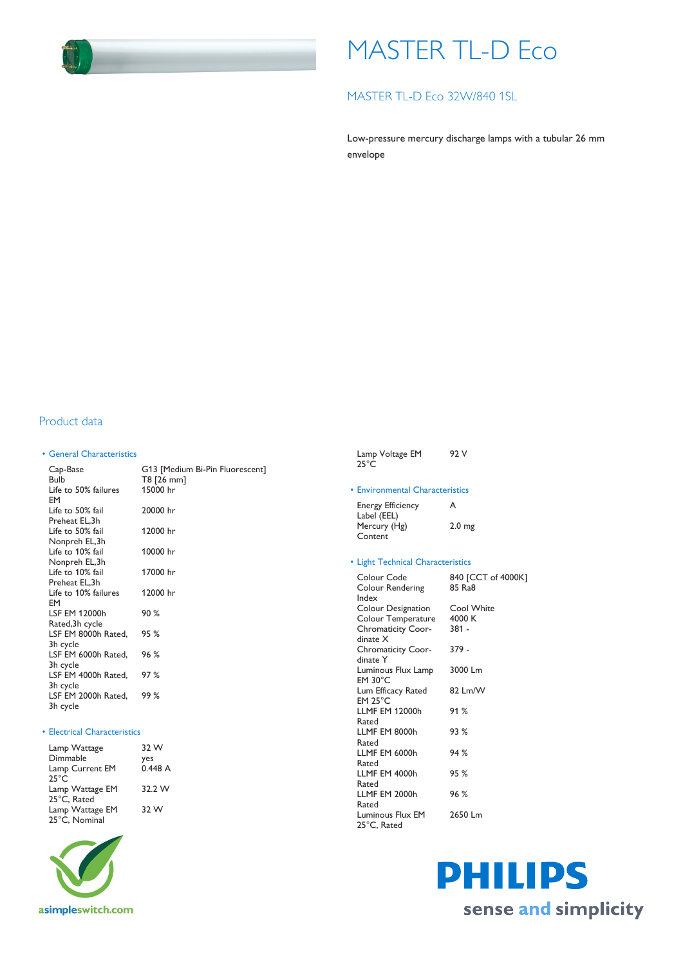

# MASTER TL-D Eco

## MASTER TL-D Eco 32W/840 1SL

Low-pressure mercury discharge lamps with a tubular 26 mm envelope

### Product data

#### • General Characteristics

| Cap-Base<br><b>Bulb</b>                     | G13 [Medium Bi-Pin Fluorescent]<br>T8 [26 mm] |
|---------------------------------------------|-----------------------------------------------|
| Life to 50% failures<br>EM                  | 15000 hr                                      |
| Life to 50% fail<br>Preheat EL, 3h          | 20000 hr                                      |
| Life to 50% fail<br>Nonpreh EL,3h           | 12000 hr                                      |
| Life to 10% fail<br>Nonpreh EL,3h           | 10000 hr                                      |
| Life to 10% fail<br>Preheat EL, 3h          | 17000 hr                                      |
| Life to 10% failures<br>EM                  | 12000 hr                                      |
| LSF EM 12000h<br>Rated, 3h cycle            | 90%                                           |
| LSF EM 8000h Rated,<br>3h cycle             | 95 %                                          |
| LSF EM 6000h Rated.<br>3h cycle             | 96 %                                          |
| LSF EM 4000h Rated.                         | 97%                                           |
| 3h cycle<br>LSF EM 2000h Rated,<br>3h cycle | 99%                                           |

#### • Electrical Characteristics

| Lamp Wattage    | 32 W   |
|-----------------|--------|
| Dimmable        | yes    |
| Lamp Current EM | 0.448A |
| $25^{\circ}$ C  |        |
| Lamp Wattage EM | 32.2 W |
| 25°C. Rated     |        |
| Lamp Wattage EM | 32 W   |
| 25°C, Nominal   |        |



| • Environmental Characteristics          |                              |
|------------------------------------------|------------------------------|
| <b>Energy Efficiency</b><br>Label (EEL)  | A                            |
| Mercury (Hg)<br>Content                  | 2.0 <sub>mg</sub>            |
| • Light Technical Characteristics        |                              |
| Colour Code<br>Colour Rendering<br>Index | 840 [CCT of 4000K]<br>85 Ra8 |
| Colour Designation                       | Cool White                   |
| Colour Temperature                       | 4000 K                       |
| <b>Chromaticity Coor-</b><br>dinate X    | 381 -                        |
| <b>Chromaticity Coor-</b><br>dinate Y    | 379 -                        |
| Luminous Flux Lamp<br>$EM 30^{\circ}C$   | 3000 Lm                      |
| Lum Efficacy Rated<br>$EM$ 25 $°C$       | 82 Lm/W                      |
| <b>LLMF EM 12000h</b><br>Rated           | 91%                          |
| LLMF EM 8000h<br>Rated                   | 93 %                         |
| LLMF EM 6000h<br>Rated                   | 94%                          |
| LLMF EM 4000h<br>Rated                   | 95%                          |
| LLMF EM 2000h<br>Rated                   | 96%                          |

Luminous Flux EM 25°C, Rated

2650 Lm

Lamp Voltage EM

92 V

25°C

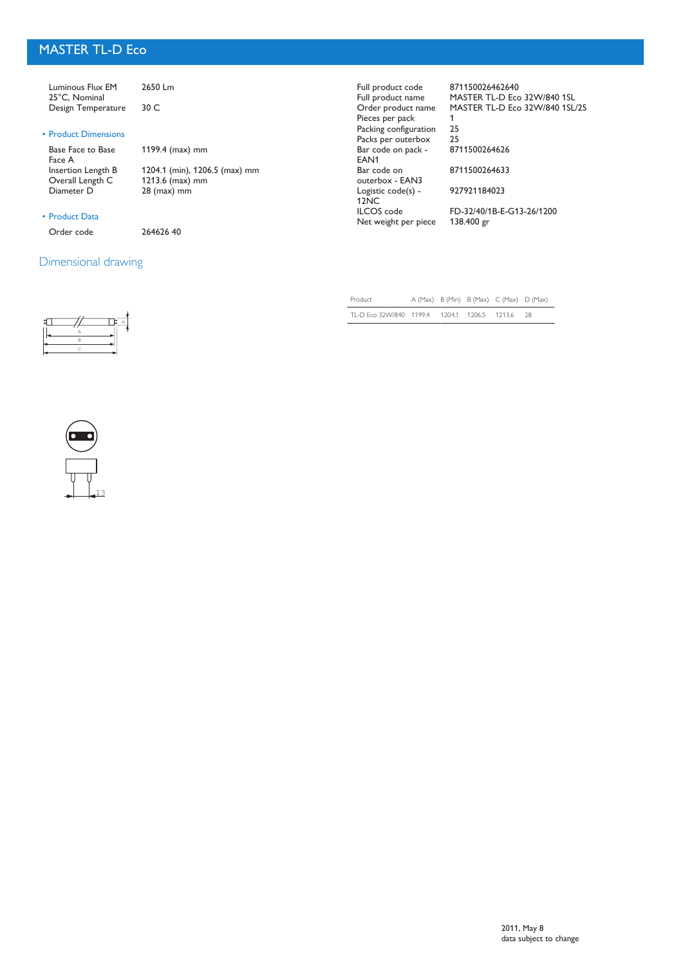# MASTER TL-D Eco

| Luminous Flux EM<br>25°C, Nominal<br>Design Temperature | 2650 Lm<br>30 C                                  | Full product code<br>Full product name<br>Order product name<br>Pieces per pack | 871150026462640<br>MASTER TL-D Eco 32W/840 1SL<br>MASTER TL-D Eco 32W/840 1SL/25 |
|---------------------------------------------------------|--------------------------------------------------|---------------------------------------------------------------------------------|----------------------------------------------------------------------------------|
| • Product Dimensions                                    |                                                  | Packing configuration<br>Packs per outerbox                                     | 25<br>25                                                                         |
| Base Face to Base<br>Face A                             | 1199.4 ( $max$ ) mm                              | Bar code on pack -<br>EAN <sub>1</sub>                                          | 8711500264626                                                                    |
| Insertion Length B<br>Overall Length C                  | 1204.1 (min), 1206.5 (max) mm<br>1213.6 (max) mm | Bar code on<br>outerbox - EAN3                                                  | 8711500264633                                                                    |
| Diameter D                                              | $28$ (max) mm                                    | Logistic code(s) -<br>12NC                                                      | 927921184023                                                                     |
| • Product Data                                          |                                                  | <b>ILCOS</b> code<br>Net weight per piece                                       | FD-32/40/1B-E-G13-26/1200<br>138.400 gr                                          |
| Order code                                              | 26462640                                         |                                                                                 |                                                                                  |

# Dimensional drawing

| P |  |
|---|--|
| C |  |

| Product                                      |  | A (Max) B (Min) B (Max) C (Max) D (Max) |      |
|----------------------------------------------|--|-----------------------------------------|------|
| TL-D Eco 32W/840 1199.4 1204.1 1206.5 1213.6 |  |                                         | - 28 |